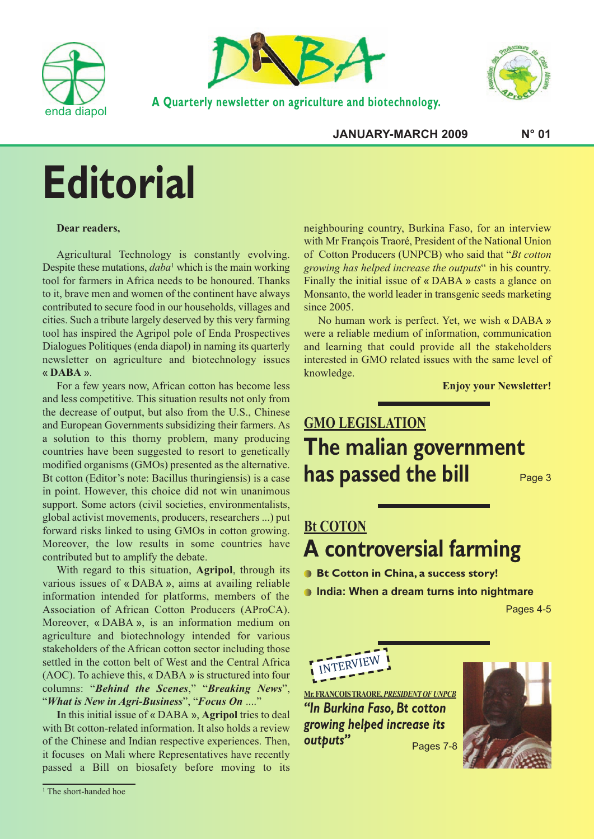



**A Quarterly newsletter on agriculture and biotechnology.**



**JANUARY-MARCH 2009 N° 01**

## **Editorial**

#### **Dear readers,**

Agricultural Technology is constantly evolving. Despite these mutations, *daba*<sup>1</sup> which is the main working tool for farmers in Africa needs to be honoured. Thanks to it, brave men and women of the continent have always contributed to secure food in our households, villages and cities. Such a tribute largely deserved by this very farming tool has inspired the Agripol pole of Enda Prospectives Dialogues Politiques (enda diapol) in naming its quarterly newsletter on agriculture and biotechnology issues « **DABA** ».

For a few years now, African cotton has become less and less competitive. This situation results not only from the decrease of output, but also from the U.S., Chinese and European Governments subsidizing their farmers. As a solution to this thorny problem, many producing countries have been suggested to resort to genetically modified organisms (GMOs) presented as the alternative. Bt cotton (Editor's note: Bacillus thuringiensis) is a case in point. However, this choice did not win unanimous support. Some actors (civil societies, environmentalists, global activist movements, producers, researchers ...) put forward risks linked to using GMOs in cotton growing. Moreover, the low results in some countries have contributed but to amplify the debate.

With regard to this situation, **Agripol**, through its various issues of « DABA », aims at availing reliable information intended for platforms, members of the Association of African Cotton Producers (AProCA). Moreover, « DABA », is an information medium on agriculture and biotechnology intended for various stakeholders of the African cotton sector including those settled in the cotton belt of West and the Central Africa (AOC). To achieve this, « DABA » is structured into four columns: "*Behind the Scenes*," "*Breaking News*", "*What is New in Agri-Business*", "*Focus On* ...."

**I**n this initial issue of « DABA », **Agripol** tries to deal with Bt cotton-related information. It also holds a review of the Chinese and Indian respective experiences. Then, it focuses on Mali where Representatives have recently passed a Bill on biosafety before moving to its

neighbouring country, Burkina Faso, for an interview with Mr François Traoré, President of the National Union of Cotton Producers (UNPCB) who said that "*Bt cotton growing has helped increase the outputs*" in his country. Finally the initial issue of « DABA » casts a glance on Monsanto, the world leader in transgenic seeds marketing since 2005.

No human work is perfect. Yet, we wish « DABA » were a reliable medium of information, communication and learning that could provide all the stakeholders interested in GMO related issues with the same level of knowledge.

**Enjoy your Newsletter!**

## **GMO LEGISLATION The malian government has passed the bill** Page <sup>3</sup>

## **Bt COTON A controversial farming**

**Bt Cotton in China, a success story!**

**India: When a dream turns into nightmare**

Pages 4-5



**Mr.FRANÇOISTRAORE,***PRESIDENTOFUNPCB "In Burkina Faso, Bt cotton growing helped increase its outputs"* Pages 7-8



<sup>&</sup>lt;sup>1</sup> The short-handed hoe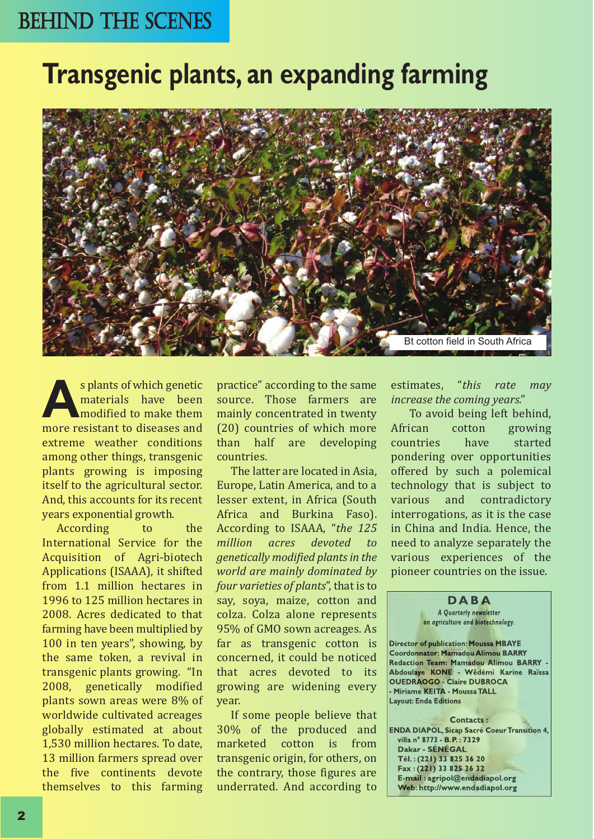## BEHIND THE SCENES

## **Transgenic plants, an expanding farming**



**As plants of which genetic materials** have been more resistant to diseases and materials have been modified to make them extreme weather conditions among other things, transgenic plants growing is imposing itself to the agricultural sector. And, this accounts for its recent years exponential growth.

According to the International Service for the Acquisition of Agri-biotech Applications (ISAAA), it shifted from 1.1 million hectares in 1996 to 125 million hectares in 2008. Acres dedicated to that farming have been multiplied by 100 in ten years", showing, by the same token, a revival in transgenic plants growing. "In 2008, genetically modified plants sown areas were 8% of worldwide cultivated acreages globally estimated at about 1,530 million hectares. To date, 13 million farmers spread over the five continents devote themselves to this farming

practice" according to the same source. Those farmers are mainly concentrated in twenty (20) countries of which more<br>than half are developing than half countries.

The latter are located in Asia, Europe, Latin America, and to a lesser extent, in Africa (South Africa and Burkina Faso). According to ISAAA, "*the 125 devoted to genetically modified plantsin the world are mainly dominated by four varieties of plants*", that is to say, soya, maize, cotton and colza. Colza alone represents 95% of GMO sown acreages. As far as transgenic cotton is concerned, it could be noticed that acres devoted to its growing are widening every year.

If some people believe that 30% of the produced and cotton is transgenic origin, for others, on the contrary, those figures are underrated. And according to

estimates, "*this rate may increase the coming years*."

To avoid being left behind,<br>African cotton growing tton growing<br>have started countries pondering over opportunities offered by such a polemical technology that is subject to<br>various and contradictory and contradictory interrogations, as it is the case in China and India. Hence, the need to analyze separately the various experiences of the pioneer countries on the issue.

#### **D A B A**

*A Quarterly newsletter on agriculture and biotechnology.*

**Director of publication: Moussa MBAYE Coordonnator: Mamadou Alimou BARRY Redaction Team: Mamadou Alimou BARRY - Abdoulaye KONE - Wêdémi Karine Raïssa OUEDRAOGO - Claire DUBROCA - Miriame KEITA - MoussaTALL Layout: Enda Editions**

**Contacts : ENDA DIAPOL, Sicap Sacré Coeur Transition 4, villa n° 8773 - B.P. : 7329 Dakar - SÉNÉGAL Tél. :(221) 33 825 36 20 Fax :(221) 33 825 36 32 E-mail : agripol@endadiapol.org Web: http://www.endadiapol.org**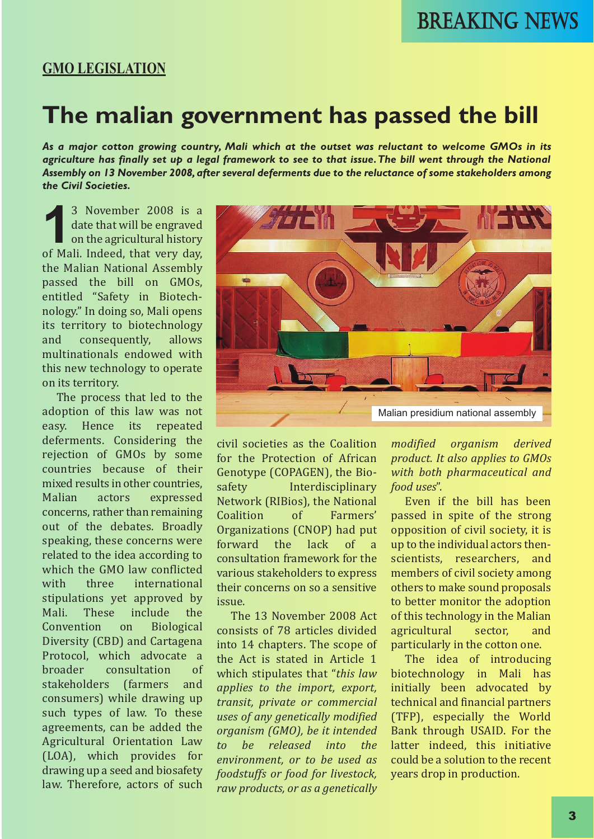#### **GMO LEGISLATION**

## **The malian government has passed the bill**

*As a major cotton growing country, Mali which at the outset was reluctant to welcome GMOs in its* agriculture has finally set up a legal framework to see to that issue. The bill went through the National *Assembly on 13 November 2008,after several deferments due to the reluctance of some stakeholders among the Civil Societies.*

<sup>3</sup> November 2008 is a<br>date that will be engraved<br>on the agricultural history<br>of Mali. Indeed, that very day. date that will be engraved on the agricultural history of Mali. Indeed, that very day, the Malian National Assembly passed the bill on GMOs, entitled "Safety in Biotechnology." In doing so, Mali opens its territory to biotechnology<br>and consequently, allows consequently, multinationals endowed with this new technology to operate on its territory.

The process that led to the adoption of this law was not<br>easy. Hence its repeated Hence its repeated deferments. Considering the rejection of GMOs by some countries because of their mixed results in other countries,<br>Malian actors expressed expressed concerns, rather than remaining out of the debates. Broadly speaking, these concerns were related to the idea according to which the GMO law conflicted<br>with three international international stipulations yet approved by<br>Mali. These include the These include the<br>tion on Biological Convention Diversity (CBD) and Cartagena Protocol, which advocate a<br>broader consultation of consultation stakeholders (farmers and consumers) while drawing up such types of law. To these agreements, can be added the Agricultural Orientation Law (LOA), which provides for drawing up a seed and biosafety law. Therefore, actors of such



civil societies as the Coalition for the Protection of African Genotype (COPAGEN), the Bio-<br>safety lnterdisciplinary Interdisciplinary Network (RIBios), the National<br>Coalition of Farmers' Coalition Organizations (CNOP) had put<br>forward the lack of a forward the lack of a consultation framework for the various stakeholders to express their concerns on so a sensitive issue.

The 13 November 2008 Act consists of 78 articles divided into 14 chapters. The scope of the Act is stated in Article 1 which stipulates that "*this law applies to the import, export, transit, private or commercial uses of any genetically modified organism (GMO), be it intended to be released into the environment, or to be used as foodstuffs or food for livestock, raw products, or as a genetically*

*modified organism derived product. It also applies to GMOs with both pharmaceutical and food uses*".

Even if the bill has been passed in spite of the strong opposition of civil society, it is up to the individual actors thenscientists, researchers, and members of civil society among others to make sound proposals to better monitor the adoption of this technology in the Malian<br>agricultural sector. and agricultural particularly in the cotton one.

The idea of introducing biotechnology in Mali has initially been advocated by technical and financial partners (TFP), especially the World Bank through USAID. For the latter indeed, this initiative could be a solution to the recent years drop in production.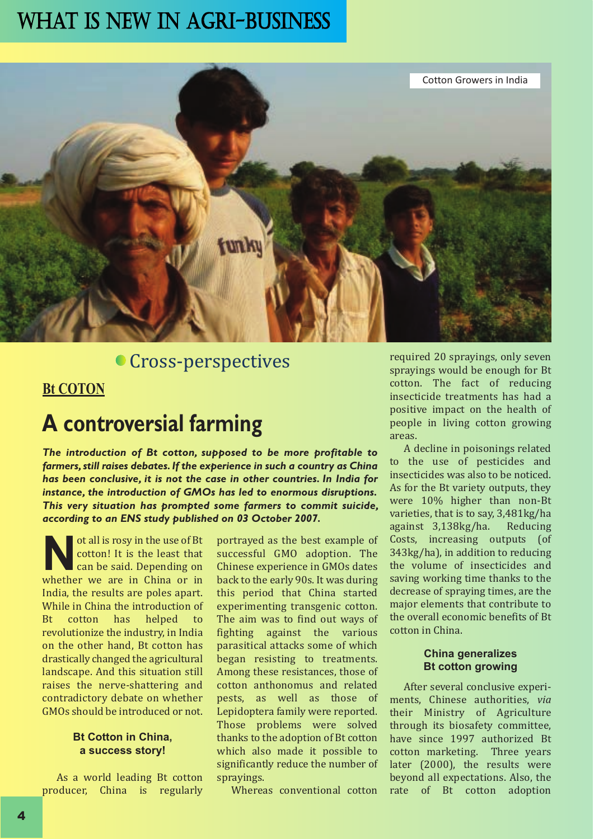## WHAT IS NEW IN AGRI-BUSINESS



## **Cross-perspectives**

#### **Bt COTON**

## **A controversial farming**

*The introduction of Bt cotton, supposed to be more profitable to farmers,still raises debates.If the experience in such a country as China has been conclusive, it is not the case in other countries. In India for instance, the introduction of GMOs has led to enormous disruptions. This very situation has prompted some farmers to commit suicide, according to an ENS study published on 03 October 2007.*

**Not** all is rosy in the use of Bt cotton! It is the least that can be said. Depending on whether we are in China or in cotton! It is the least that can be said. Depending on India, the results are poles apart. While in China the introduction of<br>Bt cotton has helped to helped revolutionize the industry, in India on the other hand, Bt cotton has drastically changed the agricultural landscape. And this situation still raises the nerve-shattering and contradictory debate on whether GMOs should be introduced or not.

#### **Bt Cotton in China, a success story!**

As a world leading Bt cotton producer, China is regularly portrayed as the best example of successful GMO adoption. The Chinese experience in GMOs dates back to the early 90s. It was during this period that China started experimenting transgenic cotton. The aim was to find out ways of fighting against the various parasitical attacks some of which began resisting to treatments. Among these resistances, those of cotton anthonomus and related pests, as well as those of Lepidoptera family were reported. Those problems were solved thanks to the adoption of Bt cotton which also made it possible to significantly reduce the number of sprayings.

Whereas conventional cotton

required 20 sprayings, only seven sprayings would be enough for Bt cotton. The fact of reducing insecticide treatments has had a positive impact on the health of people in living cotton growing areas.

A decline in poisonings related to the use of pesticides and insecticides was also to be noticed. As for the Bt variety outputs, they were 10% higher than non-Bt varieties, that is to say, 3,481 kg/ha<br>against 3,138 kg/ha. Reducing against 3,138kg/ha. Costs, increasing outputs (of 343kg/ha), in addition to reducing the volume of insecticides and saving working time thanks to the decrease of spraying times, are the major elements that contribute to the overall economic benefits of Bt cotton in China.

#### **China generalizes Bt cotton growing**

After several conclusive experiments, Chinese authorities, *via* their Ministry of Agriculture through its biosafety committee, have since 1997 authorized Bt cotton marketing. Three years later (2000), the results were beyond all expectations. Also, the rate of Bt cotton adoption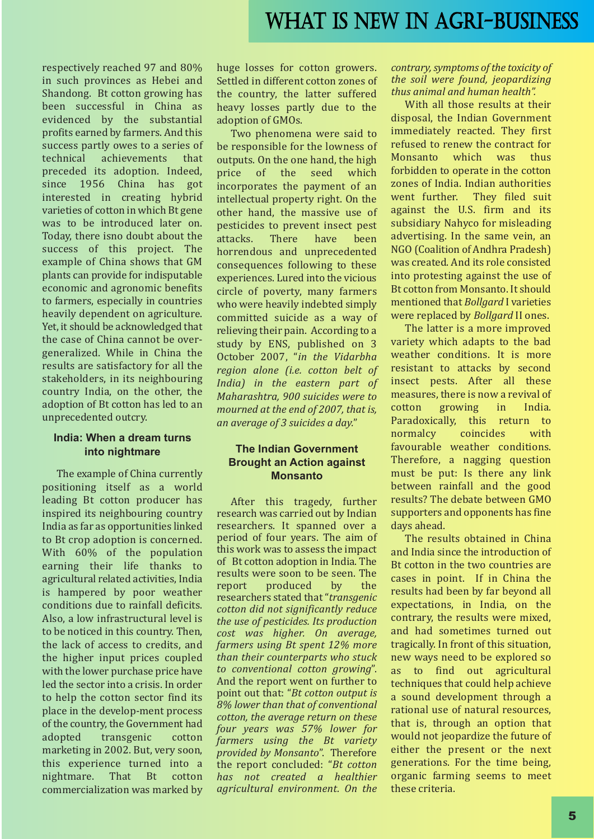respectively reached 97 and 80% in such provinces as Hebei and Shandong. Bt cotton growing has been successful in China as evidenced by the substantial profits earned by farmers. And this success partly owes to a series of<br>technical achievements that achievements preceded its adoption. Indeed,<br>since 1956 China has got since 1956 China has got interested in creating hybrid varieties of cotton in which Bt gene was to be introduced later on. Today, there isno doubt about the success of this project. The example of China shows that GM plants can provide for indisputable economic and agronomic benefits to farmers, especially in countries heavily dependent on agriculture. Yet, it should be acknowledged that the case of China cannot be overgeneralized. While in China the results are satisfactory for all the stakeholders, in its neighbouring country India, on the other, the adoption of Bt cotton has led to an unprecedented outcry.

#### **India: When a dream turns into nightmare**

The example of China currently positioning itself as a world leading Bt cotton producer has inspired its neighbouring country India as far as opportunities linked to Bt crop adoption is concerned. With 60% of the population earning their life thanks to agricultural related activities, India is hampered by poor weather conditions due to rainfall deficits. Also, a low infrastructural level is to be noticed in this country. Then, the lack of access to credits, and the higher input prices coupled with the lower purchase price have led the sector into a crisis. In order to help the cotton sector find its place in the develop-ment process of the country, the Government had<br>adopted transgenic cotton transgenic marketing in 2002. But, very soon, this experience turned into a<br>nightmare. That Bt cotton That Bt commercialization was marked by

huge losses for cotton growers. Settled in different cotton zones of the country, the latter suffered heavy losses partly due to the adoption of GMOs.

Two phenomena were said to be responsible for the lowness of outputs. On the one hand, the high<br>price of the seed which price of the seed incorporates the payment of an intellectual property right. On the other hand, the massive use of pesticides to prevent insect pest<br>attacks. There have been attacks. There have been horrendous and unprecedented consequences following to these experiences. Lured into the vicious circle of poverty, many farmers who were heavily indebted simply committed suicide as a way of relieving their pain. According to a study by ENS, published on 3 October 2007, "*in the Vidarbha region alone (i.e. cotton belt of India) in the eastern part of Maharashtra, 900 suicides were to mourned at the end of 2007, that is, an average of 3 suicides a day.*"

#### **The Indian Government Brought an Action against Monsanto**

After this tragedy, further research was carried out by Indian researchers. It spanned over a period of four years. The aim of this work was to assess the impact of Bt cotton adoption in India. The results were soon to be seen. The<br>report produced by the report produced by the researchers stated that"*transgenic cotton did not significantly reduce the use of pesticides. Its production cost was higher. On average, farmers using Bt spent 12% more than their counterparts who stuck to conventional cotton growing*". And the report went on further to point out that: "*Bt cotton output is 8% lower than that of conventional cotton, the average return on these four years was 57% lower for farmers using the Bt variety provided by Monsanto*". Therefore the report concluded: "*Bt cotton has not created a healthier agricultural environment. On the*

*contrary,symptoms of the toxicity of the soil were found, jeopardizing thus animal and human health".*

With all those results at their disposal, the Indian Government immediately reacted. They first refused to renew the contract for<br>Monsanto which was thus Monsanto forbidden to operate in the cotton zones of India. Indian authorities went further. They filed suit against the U.S. firm and its subsidiary Nahyco for misleading advertising. In the same vein, an NGO (Coalition of Andhra Pradesh) was created. And its role consisted into protesting against the use of Bt cotton from Monsanto. It should mentioned that *Bollgard* I varieties were replaced by *Bollgard* II ones.

The latter is a more improved variety which adapts to the bad weather conditions. It is more resistant to attacks by second insect pests. After all these measures, there is now a revival of cotton growing in India. growing Paradoxically, this return to<br>normalcy coincides with normalcy favourable weather conditions. Therefore, a nagging question must be put: Is there any link between rainfall and the good results? The debate between GMO supporters and opponents has fine days ahead.

The results obtained in China and India since the introduction of Bt cotton in the two countries are cases in point. If in China the results had been by far beyond all expectations, in India, on the contrary, the results were mixed, and had sometimes turned out tragically. In front of this situation, new ways need to be explored so as to find out agricultural techniques that could help achieve a sound development through a rational use of natural resources, that is, through an option that would not jeopardize the future of either the present or the next generations. For the time being, organic farming seems to meet these criteria.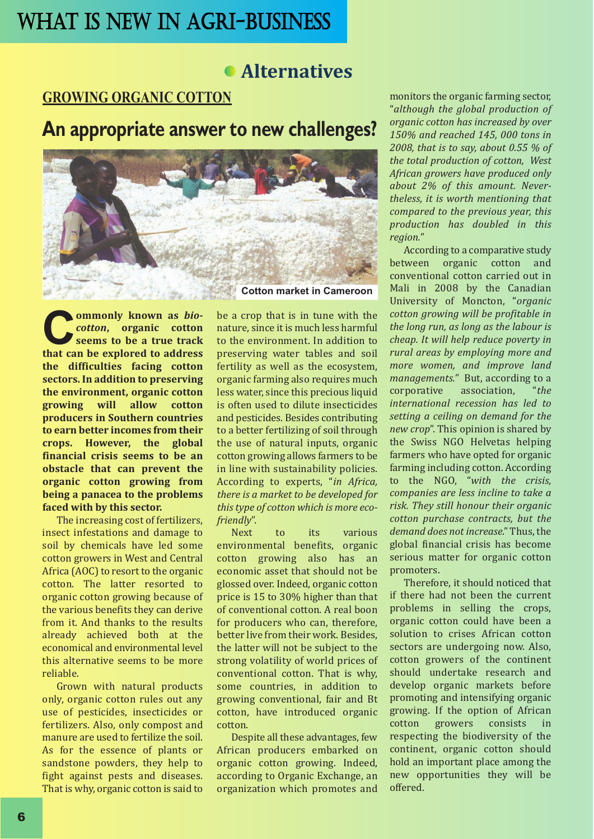## **Alternatives**

#### **GROWING ORGANIC COTTON**

## **An appropriate answer to new challenges?**



**Commonly** known as *bio-*<br> **cotton**, organic cotton<br> **that** can be explored to address *cotton***, organic cotton seems to be a true track the difficulties facing cotton sectors. In addition to preserving the environment, organic cotton growing will allow cotton producers in Southern countries to earn better incomes from their crops. However, the global financial crisis seems to be an obstacle that can prevent the organic cotton growing from being a panacea to the problems faced with by this sector.**

The increasing cost of fertilizers, insect infestations and damage to soil by chemicals have led some cotton growers in West and Central Africa (AOC) to resort to the organic cotton. The latter resorted to organic cotton growing because of the various benefits they can derive from it. And thanks to the results already achieved both at the economical and environmental level this alternative seems to be more reliable.

Grown with natural products only, organic cotton rules out any use of pesticides, insecticides or fertilizers. Also, only compost and manure are used to fertilize the soil. As for the essence of plants or sandstone powders, they help to fight against pests and diseases. That is why, organic cotton is said to

be a crop that is in tune with the nature, since it is much less harmful to the environment. In addition to preserving water tables and soil fertility as well as the ecosystem, organic farming also requires much less water, since this precious liquid is often used to dilute insecticides and pesticides. Besides contributing to a better fertilizing of soil through the use of natural inputs, organic cotton growing allows farmers to be in line with sustainability policies. According to experts, "*in Africa, there is a market to be developed for thistype of cotton which is more ecofriendly*".

to its various environmental benefits, organic cotton growing also has an economic asset that should not be glossed over. Indeed, organic cotton price is 15 to 30% higher than that of conventional cotton. A real boon for producers who can, therefore, better live from their work. Besides, the latter will not be subject to the strong volatility of world prices of conventional cotton. That is why, some countries, in addition to growing conventional, fair and Bt cotton, have introduced organic cotton.

Despite all these advantages, few African producers embarked on organic cotton growing. Indeed, according to Organic Exchange, an organization which promotes and monitors the organic farming sector, "*although the global production of organic cotton has increased by over 150% and reached 145, 000 tons in 2008, that is to say, about 0.55 % of the total production of cotton, West African growers have produced only about 2% of this amount. Nevertheless, it is worth mentioning that compared to the previous year, this production has doubled in this region.*"

According to a comparative study<br>between organic cotton and organic cotton and conventional cotton carried out in Mali in 2008 by the Canadian University of Moncton, "*organic cotton growing will be profitable in the long run, as long as the labour is cheap. It will help reduce poverty in rural areas by employing more and more women, and improve land managements."* But, according to a association, *international recession has led to setting a ceiling on demand for the new crop*". This opinion is shared by the Swiss NGO Helvetas helping farmers who have opted for organic farming including cotton. According to the NGO, "*with the crisis, companies are less incline to take a risk. They still honour their organic cotton purchase contracts, but the demand does not increase*." Thus, the global financial crisis has become serious matter for organic cotton promoters.

Therefore, it should noticed that if there had not been the current problems in selling the crops, organic cotton could have been a solution to crises African cotton sectors are undergoing now. Also, cotton growers of the continent should undertake research and develop organic markets before promoting and intensifying organic growing. If the option of African<br>cotton growers consists in growers respecting the biodiversity of the continent, organic cotton should hold an important place among the new opportunities they will be offered.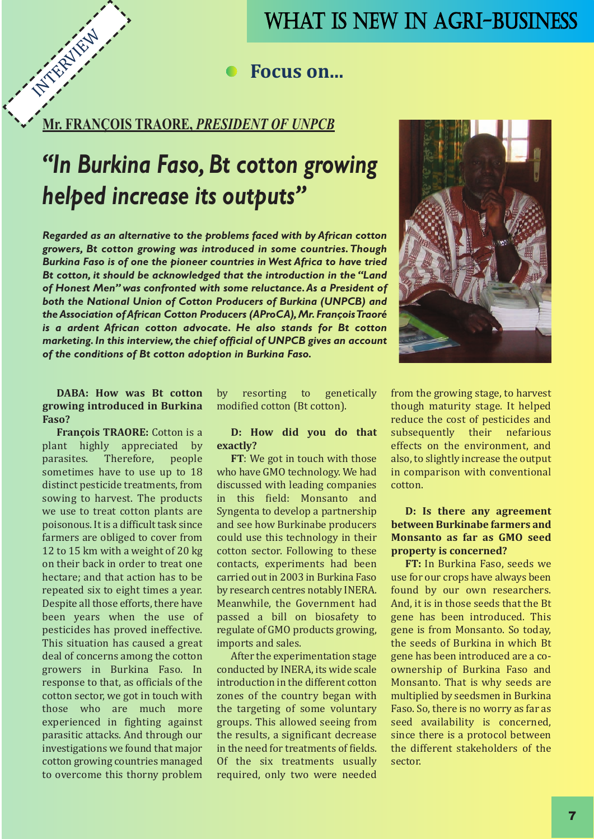## WHAT IS NEW IN AGRI-BUSINESS

#### **Focus on...**

# **Mr. FRANÇOIS TRAORE,** *PRESIDENT OF UNPCB* **INTERVIEW**

## *"In Burkina Faso, Bt cotton growing helped increase its outputs"*

*Regarded as an alternative to the problems faced with by African cotton growers, Bt cotton growing was introduced in some countries.Though Burkina Faso is of one the pioneer countries in West Africa to have tried Bt cotton, it should be acknowledged that the introduction in the "Land of Honest Men" was confronted with some reluctance.As a President of both the National Union of Cotton Producers of Burkina (UNPCB) and theAssociation ofAfrican Cotton Producers (AProCA),Mr. FrançoisTraoré is a ardent African cotton advocate. He also stands for Bt cotton marketing.In this interview,the chief official of UNPCB gives an account of the conditions of Bt cotton adoption in Burkina Faso.*



#### **DABA: How was Bt cotton growing introduced in Burkina Faso?**

**François TRAORE:** Cotton is a plant highly appreciated by<br>parasites. Therefore, people Therefore, people sometimes have to use up to 18 distinct pesticide treatments, from sowing to harvest. The products we use to treat cotton plants are poisonous. It is a difficult task since farmers are obliged to cover from 12 to 15 km with a weight of 20 kg on their back in order to treat one hectare; and that action has to be repeated six to eight times a year. Despite all those efforts, there have been years when the use of pesticides has proved ineffective. This situation has caused a great deal of concerns among the cotton growers in Burkina Faso. In response to that, as officials of the cotton sector, we got in touch with those who are much more experienced in fighting against parasitic attacks. And through our investigations we found that major cotton growing countries managed to overcome this thorny problem by resorting to genetically modified cotton (Bt cotton).

#### **D: How did you do that exactly?**

**FT**: We got in touch with those who have GMO technology. We had discussed with leading companies in this field: Monsanto and Syngenta to develop a partnership and see how Burkinabe producers could use this technology in their cotton sector. Following to these contacts, experiments had been carried out in 2003 in Burkina Faso by research centres notably INERA. Meanwhile, the Government had passed a bill on biosafety to regulate of GMO products growing, imports and sales.

After the experimentation stage conducted by INERA, its wide scale introduction in the different cotton zones of the country began with the targeting of some voluntary groups. This allowed seeing from the results, a significant decrease in the need for treatments of fields. Of the six treatments usually required, only two were needed

from the growing stage, to harvest though maturity stage. It helped reduce the cost of pesticides and<br>subsequently their nefarious subsequently effects on the environment, and also, to slightly increase the output in comparison with conventional cotton.

#### **D: Is there any agreement between Burkinabe farmers and Monsanto as far as GMO seed property is concerned?**

**FT:** In Burkina Faso, seeds we use for our crops have always been found by our own researchers. And, it is in those seeds that the Bt gene has been introduced. This gene is from Monsanto. So today, the seeds of Burkina in which Bt gene has been introduced are a coownership of Burkina Faso and Monsanto. That is why seeds are multiplied by seedsmen in Burkina Faso. So, there is no worry as far as seed availability is concerned, since there is a protocol between the different stakeholders of the sector.